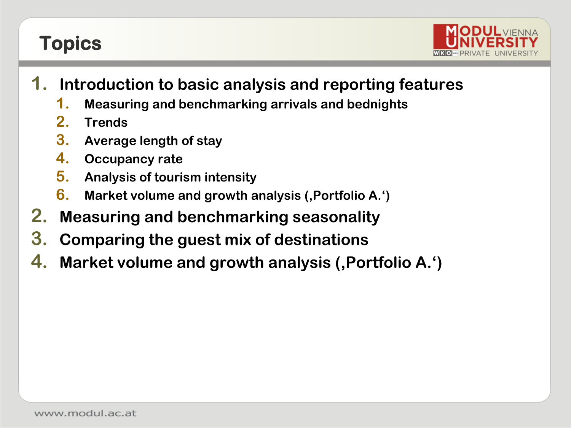### **Topics**



- **1. Introduction to basic analysis and reporting features**
	- **1. Measuring and benchmarking arrivals and bednights**
	- **2. Trends**
	- **3. Average length of stay**
	- **4. Occupancy rate**
	- **5. Analysis of tourism intensity**
	- **6. Market volume and growth analysis ('Portfolio A.')**
- **2. Measuring and benchmarking seasonality**
- **3. Comparing the guest mix of destinations**
- **4. Market volume and growth analysis (, Portfolio A.')**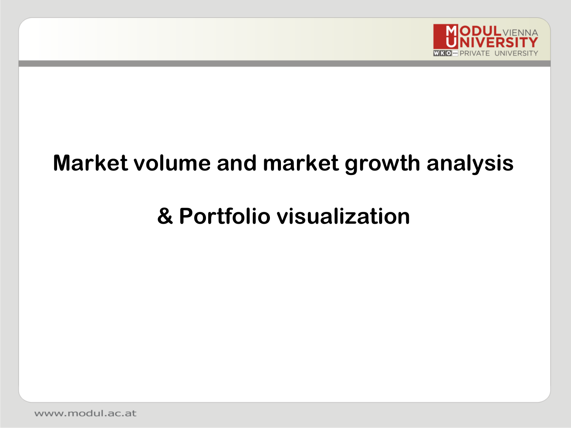

## **Market volume and market growth analysis**

# **& Portfolio visualization**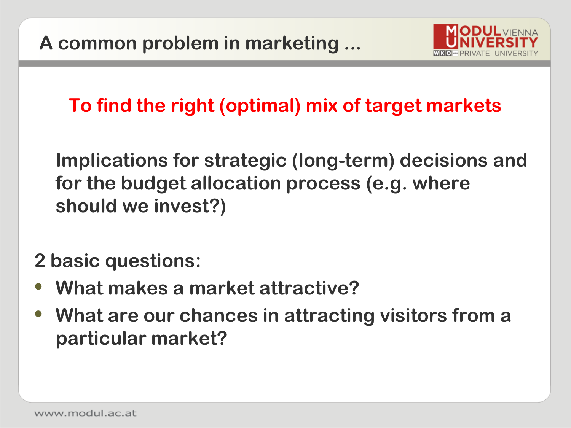

**To find the right (optimal) mix of target markets**

**Implications for strategic (long-term) decisions and for the budget allocation process (e.g. where should we invest?)**

**2 basic questions:** 

- **• What makes a market attractive?**
- **• What are our chances in attracting visitors from a particular market?**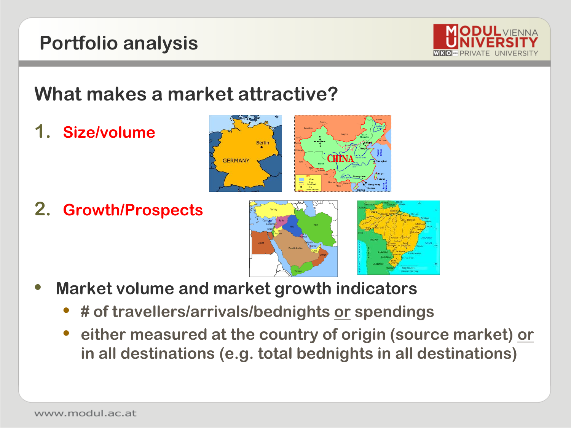### **Portfolio analysis**



### **What makes a market attractive?**

**1. Size/volume**

**2. Growth/Prospects**





- **• Market volume and market growth indicators**
	- **• # of travellers/arrivals/bednights or spendings**
	- **• either measured at the country of origin (source market) or in all destinations (e.g. total bednights in all destinations)**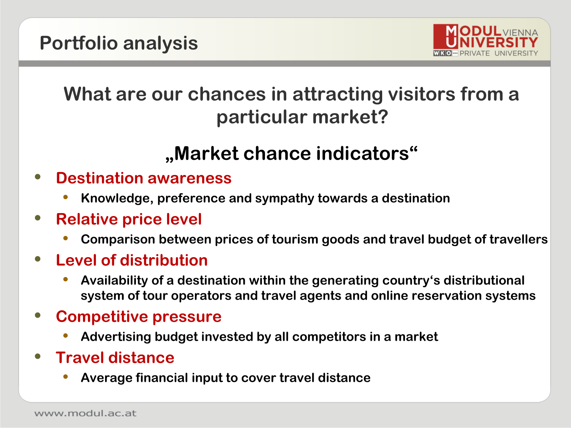

### **What are our chances in attracting visitors from a particular market?**

### **"Market chance indicators"**

- **• Destination awareness**
	- **• Knowledge, preference and sympathy towards a destination**
- **• Relative price level**
	- **• Comparison between prices of tourism goods and travel budget of travellers**
- **• Level of distribution**
	- **• Availability of a destination within the generating country's distributional system of tour operators and travel agents and online reservation systems**
- **• Competitive pressure**
	- **• Advertising budget invested by all competitors in a market**
- **• Travel distance**
	- **• Average financial input to cover travel distance**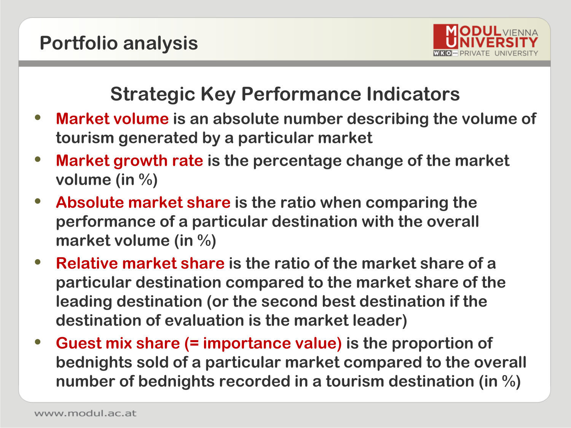

### **Strategic Key Performance Indicators**

- **• Market volume is an absolute number describing the volume of tourism generated by a particular market**
- **• Market growth rate is the percentage change of the market volume (in %)**
- **• Absolute market share is the ratio when comparing the performance of a particular destination with the overall market volume (in %)**
- **• Relative market share is the ratio of the market share of a particular destination compared to the market share of the leading destination (or the second best destination if the destination of evaluation is the market leader)**
- **• Guest mix share (= importance value) is the proportion of bednights sold of a particular market compared to the overall number of bednights recorded in a tourism destination (in %)**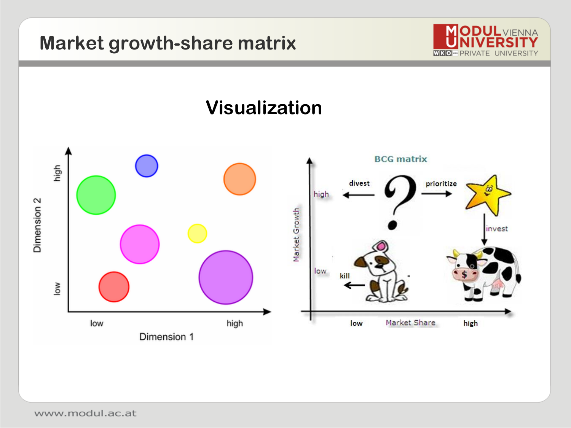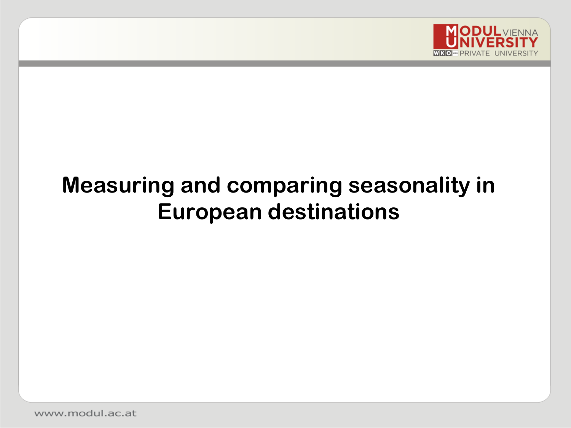

# **Measuring and comparing seasonality in European destinations**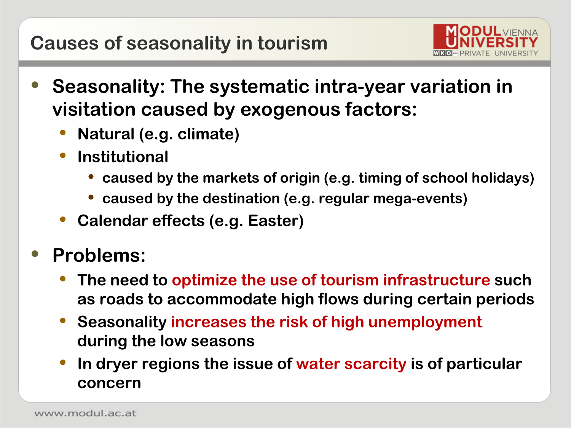

- **• Seasonality: The systematic intra-year variation in visitation caused by exogenous factors:** 
	- **• Natural (e.g. climate)**
	- **• Institutional** 
		- **• caused by the markets of origin (e.g. timing of school holidays)**
		- **• caused by the destination (e.g. regular mega-events)**
	- **• Calendar effects (e.g. Easter)**
- **• Problems:**
	- **• The need to optimize the use of tourism infrastructure such as roads to accommodate high flows during certain periods**
	- **• Seasonality increases the risk of high unemployment during the low seasons**
	- **• In dryer regions the issue of water scarcity is of particular concern**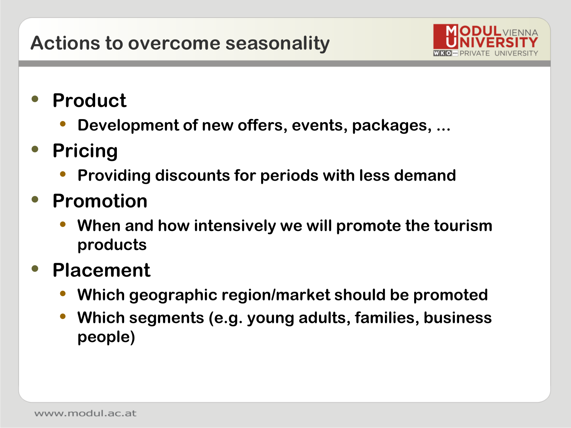

- **• Product**
	- **• Development of new offers, events, packages, ...**
- **• Pricing**
	- **• Providing discounts for periods with less demand**
- **• Promotion**
	- **• When and how intensively we will promote the tourism products**
- **• Placement**
	- **• Which geographic region/market should be promoted**
	- **• Which segments (e.g. young adults, families, business people)**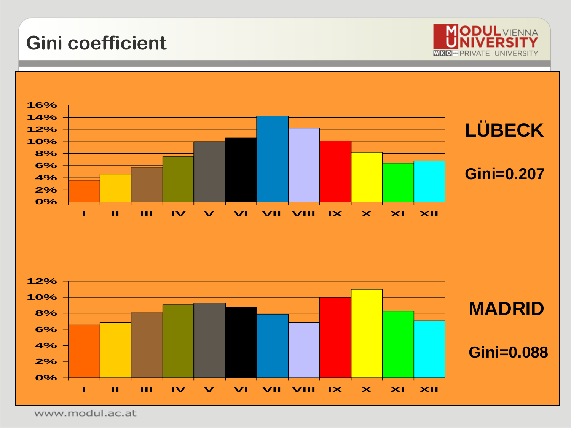**Gini coefficient** 



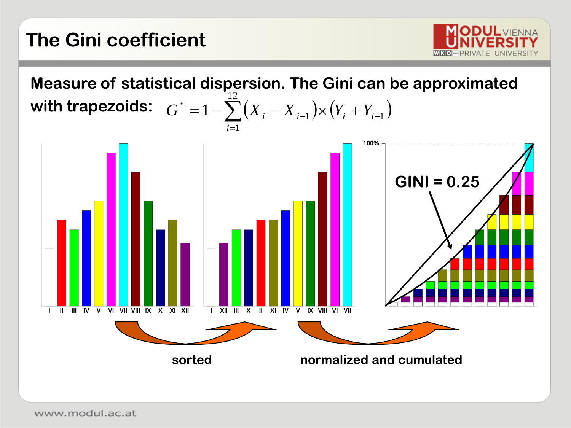

**Measure of statistical dispersion. The Gini can be approximated** with trapezoids:  $G^* = 1 - \sum^\bullet (X_i - X_{i-1}) {\times} \big(Y_i + Y_{i-1}\big)$  $= 1 - \sum (X_i - X_{i-1}) \times (Y_i + Y_{i-1})$ 1 2  $G^* = 1 - \sum (X_i - X_{i-1}) \times (Y_i + Y_i)$ 

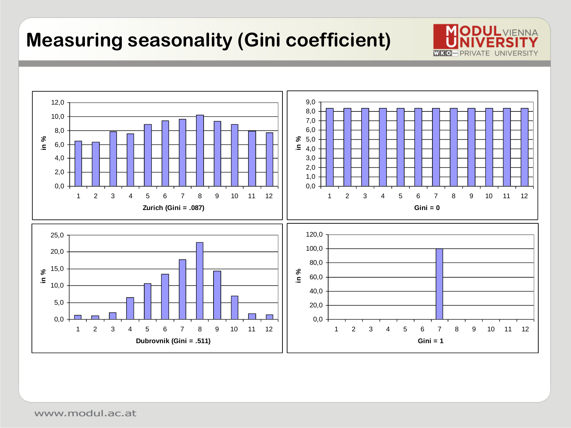### **Measuring seasonality (Gini coefficient)**



**ODULVIENNA** 

WE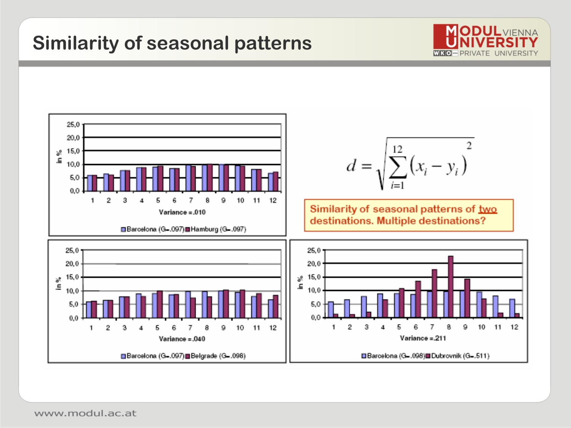### **Similarity of seasonal patterns**



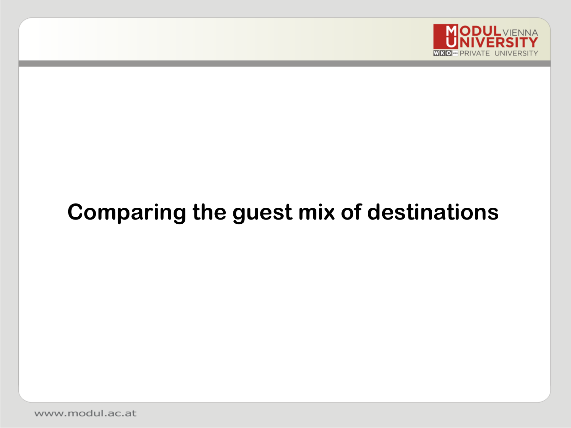

# **Comparing the guest mix of destinations**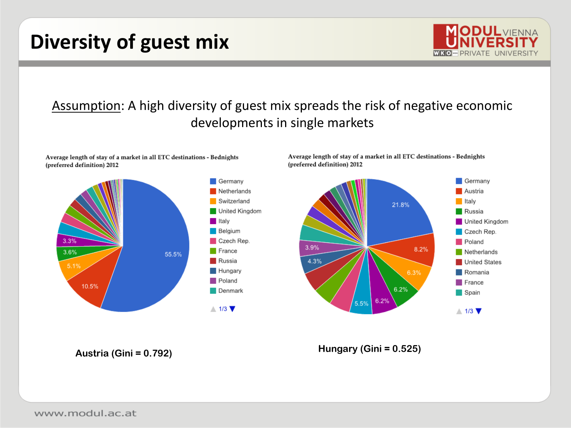### **Diversity of guest mix**



#### Assumption: A high diversity of guest mix spreads the risk of negative economic developments in single markets

Average length of stay of a market in all ETC destinations - Bednights (preferred definition) 2012



Average length of stay of a market in all ETC destinations - Bednights (preferred definition) 2012



**Austria (Gini = 0.792) Hungary (Gini = 0.525)**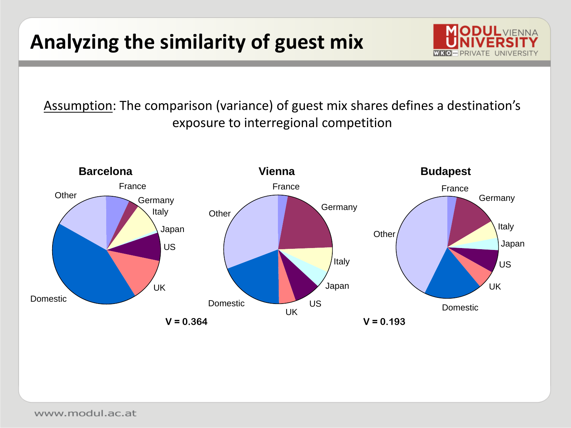## **Analyzing the similarity of guest mix**

Assumption: The comparison (variance) of guest mix shares defines a destination's exposure to interregional competition

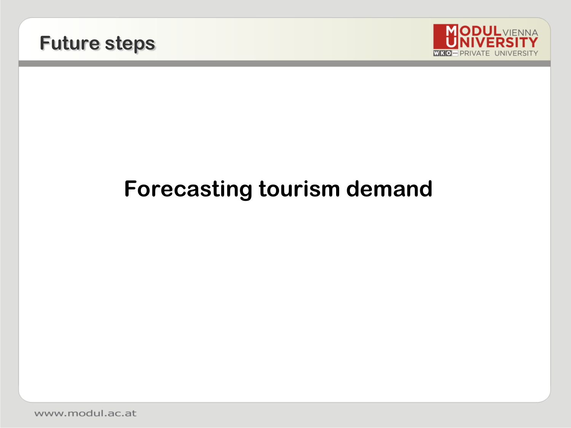



# **Forecasting tourism demand**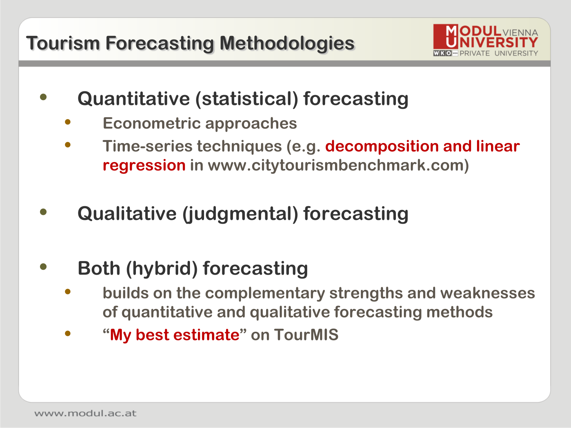

- **• Quantitative (statistical) forecasting**
	- **• Econometric approaches**
	- **• Time-series techniques (e.g. decomposition and linear regression in www.citytourismbenchmark.com)**
- **• Qualitative (judgmental) forecasting**
- **• Both (hybrid) forecasting** 
	- **• builds on the complementary strengths and weaknesses of quantitative and qualitative forecasting methods**
	- **• "My best estimate" on TourMIS**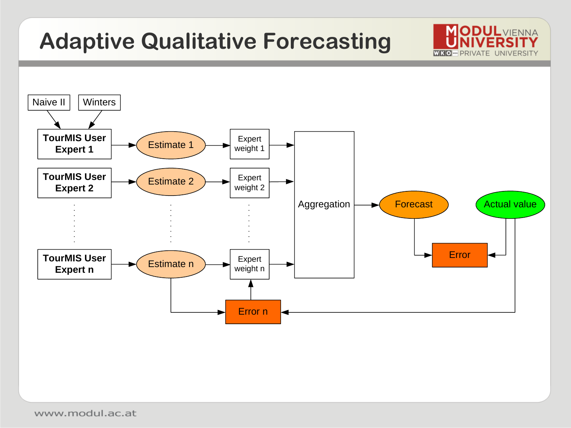# **Adaptive Qualitative Forecasting**



**MODUL**VIENNA

**WKO-PR**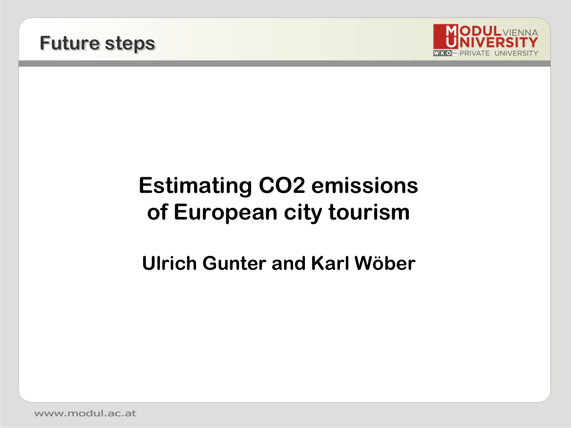



# **Estimating CO2 emissions of European city tourism**

#### **Ulrich Gunter and Karl Wöber**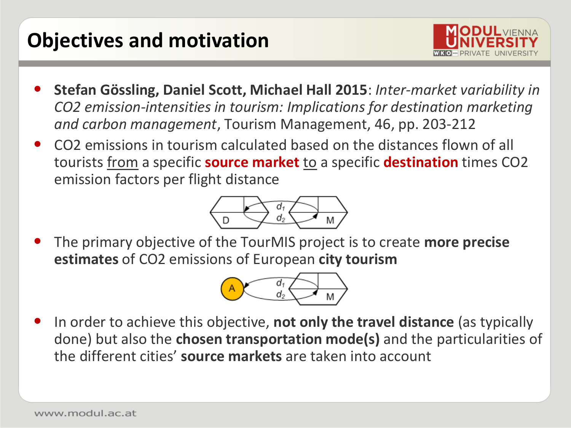### **Objectives and motivation**



- **Stefan Gössling, Daniel Scott, Michael Hall 2015**: *Inter-market variability in CO2 emission-intensities in tourism: Implications for destination marketing and carbon management*, Tourism Management, 46, pp. 203-212
- CO2 emissions in tourism calculated based on the distances flown of all tourists from a specific **source market** to a specific **destination** times CO2 emission factors per flight distance



• The primary objective of the TourMIS project is to create **more precise estimates** of CO2 emissions of European **city tourism**



• In order to achieve this objective, **not only the travel distance** (as typically done) but also the **chosen transportation mode(s)** and the particularities of the different cities' **source markets** are taken into account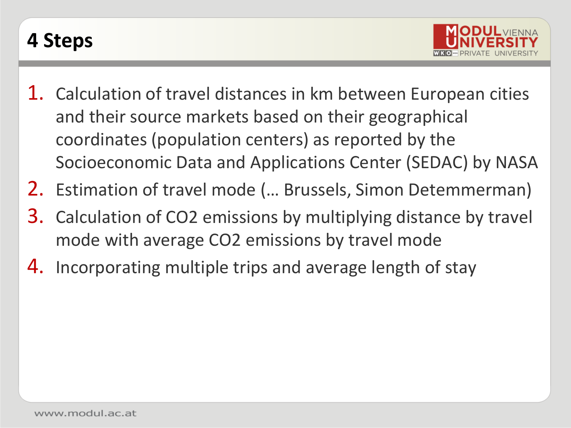### **4 Steps**



- 1. Calculation of travel distances in km between European cities and their source markets based on their geographical coordinates (population centers) as reported by the Socioeconomic Data and Applications Center (SEDAC) by NASA
- 2. Estimation of travel mode (… Brussels, Simon Detemmerman)
- 3. Calculation of CO2 emissions by multiplying distance by travel mode with average CO2 emissions by travel mode
- 4. Incorporating multiple trips and average length of stay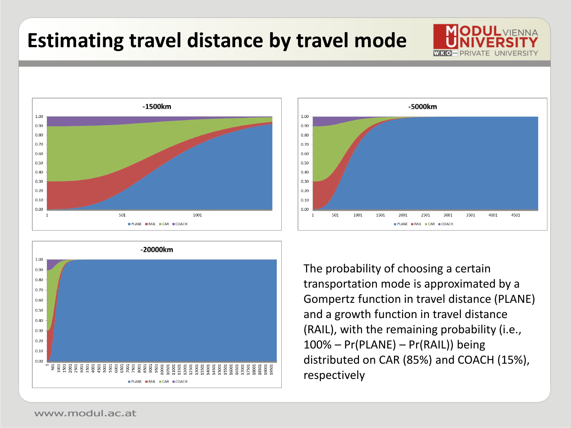### **Estimating travel distance by travel mode**





PLANE RAIL CAR COACH The probability of choosing a certain transportation mode is approximated by a Gompertz function in travel distance (PLANE) and a growth function in travel distance (RAIL), with the remaining probability (i.e., 100% – Pr(PLANE) – Pr(RAIL)) being distributed on CAR (85%) and COACH (15%), respectively

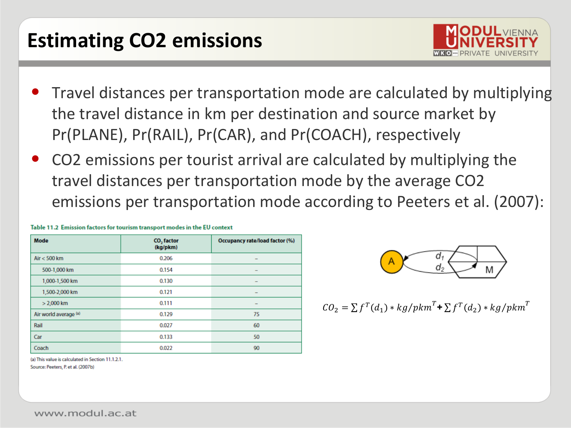### **Estimating CO2 emissions**



- Travel distances per transportation mode are calculated by multiplying the travel distance in km per destination and source market by Pr(PLANE), Pr(RAIL), Pr(CAR), and Pr(COACH), respectively
- CO2 emissions per tourist arrival are calculated by multiplying the travel distances per transportation mode by the average CO2 emissions per transportation mode according to Peeters et al. (2007):

| <b>Mode</b>           | CO <sub>2</sub> factor<br>(kg/pkm) | Occupancy rate/load factor (%) |  |  |
|-----------------------|------------------------------------|--------------------------------|--|--|
| Air $<$ 500 km        | 0.206                              | -                              |  |  |
| 500-1,000 km          | 0.154                              | -                              |  |  |
| 1,000-1,500 km        | 0.130                              | -                              |  |  |
| 1,500-2,000 km        | 0.121                              | $\overline{\phantom{0}}$       |  |  |
| $> 2,000$ km          | 0.111                              | -                              |  |  |
| Air world average (a) | 0.129                              | 75                             |  |  |
| Rail                  | 0.027                              | 60                             |  |  |
| Car                   | 0.133                              | 50                             |  |  |
| Coach                 | 0.022                              | 90                             |  |  |

Table 11.2 Emission factors for tourism transport modes in the EU context



$$
CO_2 = \sum f^T(d_1) * kg/pkm^T + \sum f^T(d_2) * kg/pkm^T
$$

(a) This value is calculated in Section 11.1.2.1.

Source: Peeters, P. et al. (2007b)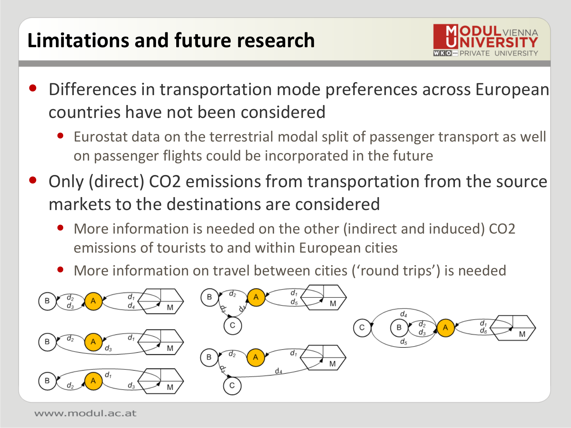### **Limitations and future research**



- Differences in transportation mode preferences across European countries have not been considered
	- Eurostat data on the terrestrial modal split of passenger transport as well on passenger flights could be incorporated in the future
- Only (direct) CO2 emissions from transportation from the source markets to the destinations are considered
	- More information is needed on the other (indirect and induced) CO2 emissions of tourists to and within European cities
	- More information on travel between cities ('round trips') is needed

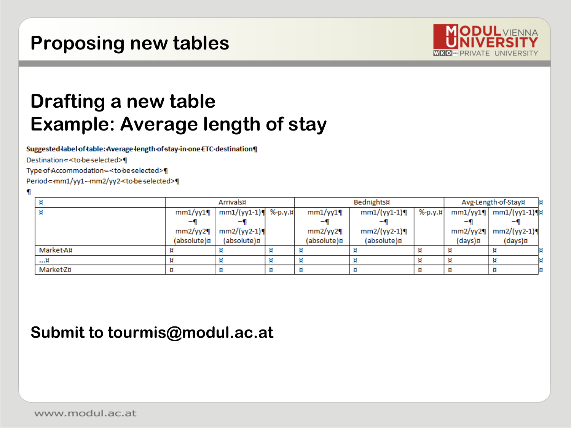#### **Proposing new tables**



### **Drafting a new table Example: Average length of stay**

Suggested label of table: Average length of stay in one ETC destination

Destination =< to be selected>¶

Type of Accommodation =< to be selected>

Period=mm1/yy1--mm2/yy2<to-be-selected>¶

|                  | Arrivals¤       |                       | Bednights¤ |             | Avg·Length·of·Stay¤ |            | l¤      |                             |   |
|------------------|-----------------|-----------------------|------------|-------------|---------------------|------------|---------|-----------------------------|---|
|                  | $mm1$ /yy $1$ ¶ | $mm1/(yy1-1)$ %-p.y.n |            | $mm1/yy1$ ¶ | $mm1/(yy1-1)$ ¶     | $%$ -p.y.¤ |         | $mm1$ /yy1¶   mm1/(yy1-1)¶¤ |   |
|                  |                 |                       |            |             |                     |            |         |                             |   |
|                  | mm2/yy2         | $mm2/(yy2-1)$         |            | mm2/yy2     | $mm2/(yy2-1)$       |            | mm2/yy2 | $mm2/(yy2-1)$               |   |
|                  | (absolute)¤     | (absolute)¤           |            | (absolute)¤ | (absolute)¤         |            | (days)¤ | (days)¤                     |   |
| <b>Market Au</b> |                 |                       | и          |             |                     |            |         |                             |   |
| ¤                | и               |                       | и          |             |                     |            |         |                             | Þ |
| Market 7¤        | и               |                       | И          |             |                     |            |         |                             | Þ |

#### **Submit to tourmis@modul.ac.at**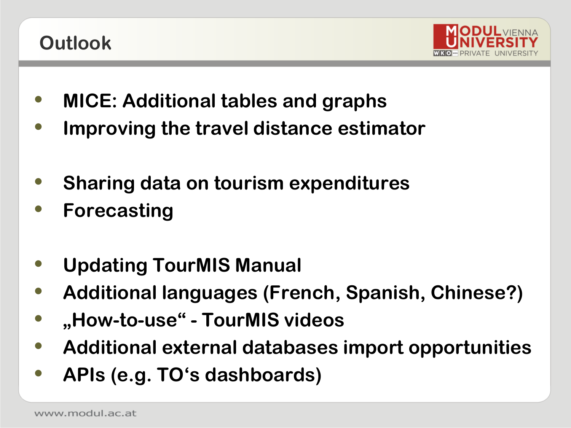### **Outlook**



- **• MICE: Additional tables and graphs**
- **• Improving the travel distance estimator**
- **• Sharing data on tourism expenditures**
- **• Forecasting**
- **• Updating TourMIS Manual**
- **• Additional languages (French, Spanish, Chinese?)**
- **• "How-to-use" - TourMIS videos**
- **• Additional external databases import opportunities**
- **• APIs (e.g. TO's dashboards)**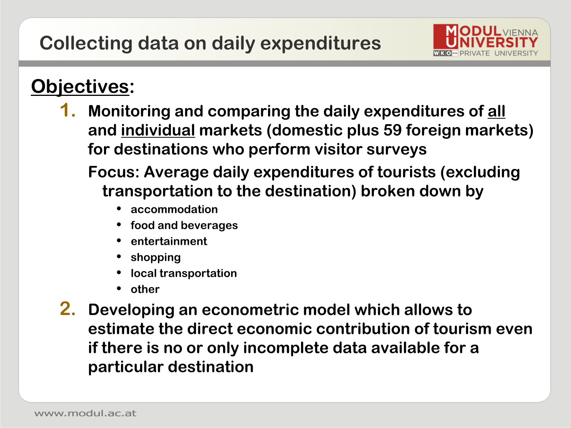

#### **Objectives:**

- **1. Monitoring and comparing the daily expenditures of all and individual markets (domestic plus 59 foreign markets) for destinations who perform visitor surveys**
	- **Focus: Average daily expenditures of tourists (excluding transportation to the destination) broken down by**
		- **• accommodation**
		- **• food and beverages**
		- **• entertainment**
		- **• shopping**
		- **• local transportation**
		- **• other**
- **2. Developing an econometric model which allows to estimate the direct economic contribution of tourism even if there is no or only incomplete data available for a particular destination**